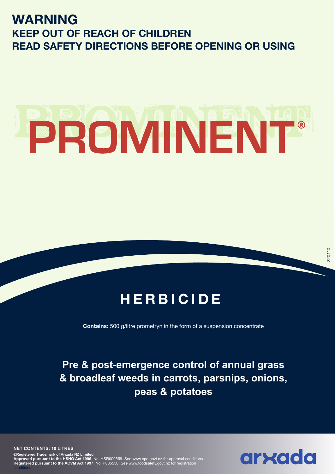## **WARNING KEEP OUT OF REACH OF CHILDREN READ SAFETY DIRECTIONS BEFORE OPENING OR USING**

# PROMINENT®

## **HERBICIDE**

**Contains:** 500 g/litre prometryn in the form of a suspension concentrate

**Pre & post-emergence control of annual grass & broadleaf weeds in carrots, parsnips, onions, peas & potatoes**